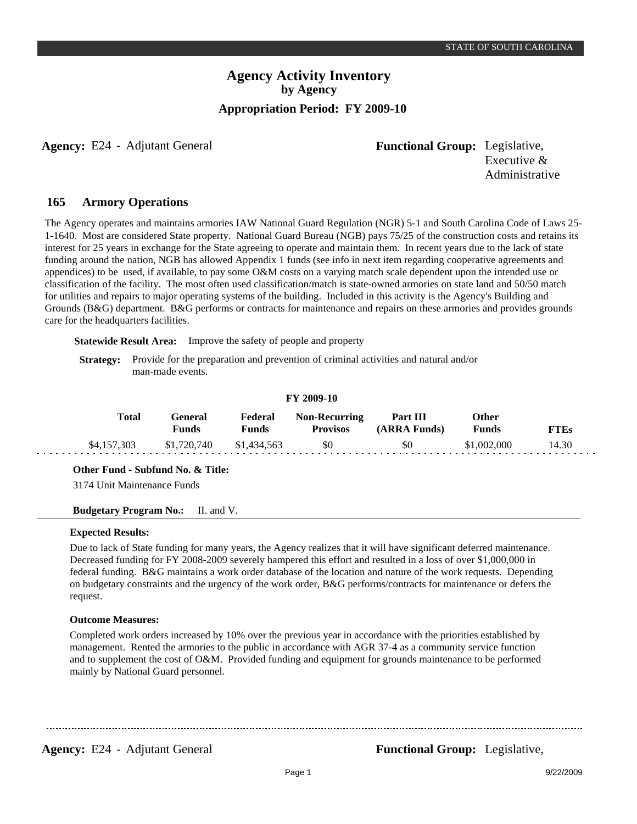**Agency:** E24 - Adjutant General **-** *Functional Group:* Legislative,

Executive & Administrative

#### **Armory Operations 165**

The Agency operates and maintains armories IAW National Guard Regulation (NGR) 5-1 and South Carolina Code of Laws 25- 1-1640. Most are considered State property. National Guard Bureau (NGB) pays 75/25 of the construction costs and retains its interest for 25 years in exchange for the State agreeing to operate and maintain them. In recent years due to the lack of state funding around the nation, NGB has allowed Appendix 1 funds (see info in next item regarding cooperative agreements and appendices) to be used, if available, to pay some O&M costs on a varying match scale dependent upon the intended use or classification of the facility. The most often used classification/match is state-owned armories on state land and 50/50 match for utilities and repairs to major operating systems of the building. Included in this activity is the Agency's Building and Grounds (B&G) department. B&G performs or contracts for maintenance and repairs on these armories and provides grounds care for the headquarters facilities.

**Statewide Result Area:** Improve the safety of people and property

**Strategy:** Provide for the preparation and prevention of criminal activities and natural and/or man-made events.

#### **FY 2009-10**

| Total       | General<br>Funds | Federal<br><b>Funds</b> | <b>Non-Recurring</b><br><b>Provisos</b> | Part III<br>(ARRA Funds) | Other<br><b>Funds</b> | <b>FTEs</b> |
|-------------|------------------|-------------------------|-----------------------------------------|--------------------------|-----------------------|-------------|
| \$4,157,303 | \$1,720,740      | \$1,434,563             | \$0                                     | \$0                      | \$1,002,000           | 14.30       |

**Other Fund - Subfund No. & Title:**

3174 Unit Maintenance Funds

**Budgetary Program No.:** II. and V.

### **Expected Results:**

Due to lack of State funding for many years, the Agency realizes that it will have significant deferred maintenance. Decreased funding for FY 2008-2009 severely hampered this effort and resulted in a loss of over \$1,000,000 in federal funding. B&G maintains a work order database of the location and nature of the work requests. Depending on budgetary constraints and the urgency of the work order, B&G performs/contracts for maintenance or defers the request.

#### **Outcome Measures:**

Completed work orders increased by 10% over the previous year in accordance with the priorities established by management. Rented the armories to the public in accordance with AGR 37-4 as a community service function and to supplement the cost of O&M. Provided funding and equipment for grounds maintenance to be performed mainly by National Guard personnel.

**Agency:** E24 - Adjutant General **-** *Functional Group:* Legislative,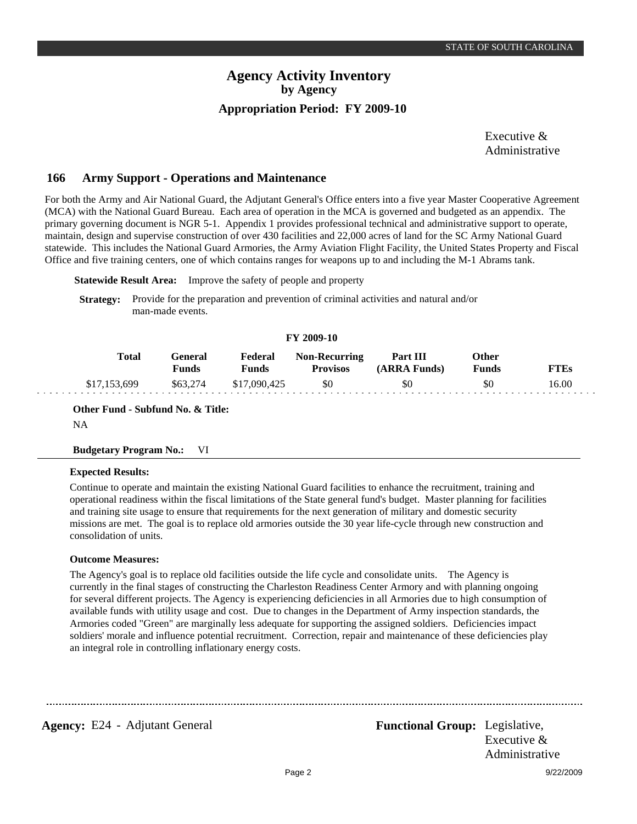Executive & Administrative

#### **Army Support - Operations and Maintenance 166**

For both the Army and Air National Guard, the Adjutant General's Office enters into a five year Master Cooperative Agreement (MCA) with the National Guard Bureau. Each area of operation in the MCA is governed and budgeted as an appendix. The primary governing document is NGR 5-1. Appendix 1 provides professional technical and administrative support to operate, maintain, design and supervise construction of over 430 facilities and 22,000 acres of land for the SC Army National Guard statewide. This includes the National Guard Armories, the Army Aviation Flight Facility, the United States Property and Fiscal Office and five training centers, one of which contains ranges for weapons up to and including the M-1 Abrams tank.

**Statewide Result Area:** Improve the safety of people and property

**Strategy:** Provide for the preparation and prevention of criminal activities and natural and/or man-made events.

#### **FY 2009-10**

| Total        | General)<br><b>Funds</b> | Federal<br>Funds | <b>Non-Recurring</b><br><b>Provisos</b> | Part III<br>(ARRA Funds) | Other<br>Funds | <b>FTEs</b> |
|--------------|--------------------------|------------------|-----------------------------------------|--------------------------|----------------|-------------|
| \$17,153,699 | \$63,274                 | \$17,090,425     | \$0                                     | \$0                      | \$0            | 16.00       |

**Other Fund - Subfund No. & Title:**

NA

#### **Budgetary Program No.:** VI

### **Expected Results:**

Continue to operate and maintain the existing National Guard facilities to enhance the recruitment, training and operational readiness within the fiscal limitations of the State general fund's budget. Master planning for facilities and training site usage to ensure that requirements for the next generation of military and domestic security missions are met. The goal is to replace old armories outside the 30 year life-cycle through new construction and consolidation of units.

#### **Outcome Measures:**

The Agency's goal is to replace old facilities outside the life cycle and consolidate units. The Agency is currently in the final stages of constructing the Charleston Readiness Center Armory and with planning ongoing for several different projects. The Agency is experiencing deficiencies in all Armories due to high consumption of available funds with utility usage and cost. Due to changes in the Department of Army inspection standards, the Armories coded "Green" are marginally less adequate for supporting the assigned soldiers. Deficiencies impact soldiers' morale and influence potential recruitment. Correction, repair and maintenance of these deficiencies play an integral role in controlling inflationary energy costs.

Agency: E24 - Adjutant General **Functional Group:** Legislative,

Executive & Administrative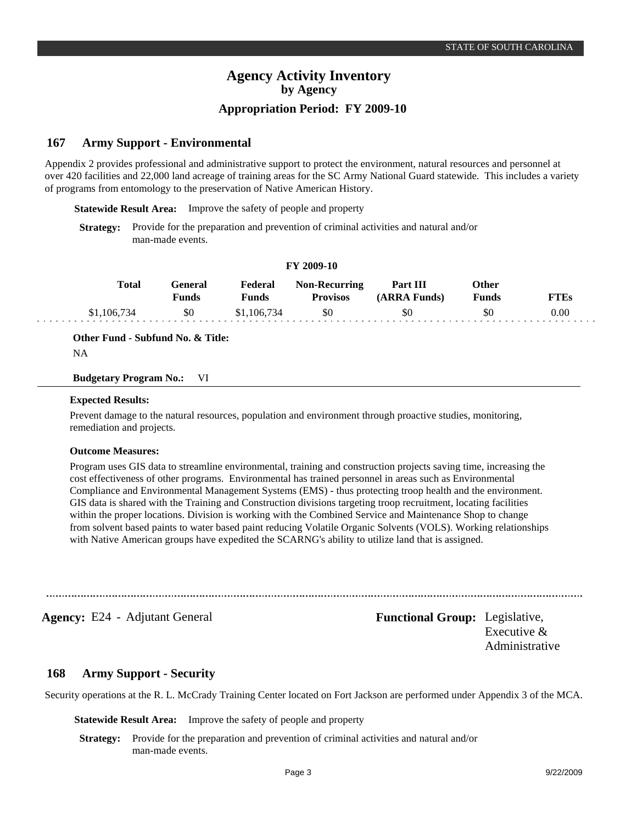#### **Army Support - Environmental 167**

Appendix 2 provides professional and administrative support to protect the environment, natural resources and personnel at over 420 facilities and 22,000 land acreage of training areas for the SC Army National Guard statewide. This includes a variety of programs from entomology to the preservation of Native American History.

**Statewide Result Area:** Improve the safety of people and property

**Strategy:** Provide for the preparation and prevention of criminal activities and natural and/or man-made events.

#### **FY 2009-10**

| <b>Total</b> | Feneral<br><b>Funds</b> | Federal<br>Funds | <b>Non-Recurring</b><br><b>Provisos</b> | Part III<br>(ARRA Funds) | Other<br><b>Funds</b> | TTEs     |
|--------------|-------------------------|------------------|-----------------------------------------|--------------------------|-----------------------|----------|
| \$1,106,734  | \$0                     | .106.            | \$0                                     | \$0                      | \$0                   | $0.00\,$ |

**Other Fund - Subfund No. & Title:**

NA

#### **Budgetary Program No.:** VI

#### **Expected Results:**

Prevent damage to the natural resources, population and environment through proactive studies, monitoring, remediation and projects.

### **Outcome Measures:**

Program uses GIS data to streamline environmental, training and construction projects saving time, increasing the cost effectiveness of other programs. Environmental has trained personnel in areas such as Environmental Compliance and Environmental Management Systems (EMS) - thus protecting troop health and the environment. GIS data is shared with the Training and Construction divisions targeting troop recruitment, locating facilities within the proper locations. Division is working with the Combined Service and Maintenance Shop to change from solvent based paints to water based paint reducing Volatile Organic Solvents (VOLS). Working relationships with Native American groups have expedited the SCARNG's ability to utilize land that is assigned.

**Agency:** E24 - Adjutant General **Functional Group:** Legislative,

Executive & Administrative

#### **Army Support - Security 168**

Security operations at the R. L. McCrady Training Center located on Fort Jackson are performed under Appendix 3 of the MCA.

**Statewide Result Area:** Improve the safety of people and property

**Strategy:** Provide for the preparation and prevention of criminal activities and natural and/or man-made events.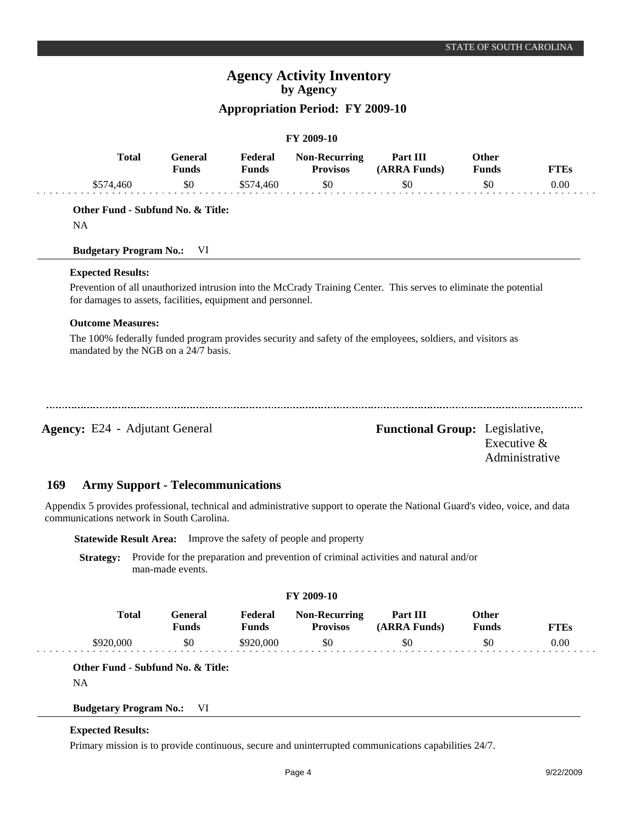### **Appropriation Period: FY 2009-10**

|                                                             |                                |                         | FY 2009-10                              |                                                                                                                   |                       |                |
|-------------------------------------------------------------|--------------------------------|-------------------------|-----------------------------------------|-------------------------------------------------------------------------------------------------------------------|-----------------------|----------------|
| <b>Total</b>                                                | <b>General</b><br><b>Funds</b> | Federal<br><b>Funds</b> | <b>Non-Recurring</b><br><b>Provisos</b> | Part III<br>(ARRA Funds)                                                                                          | <b>Other</b><br>Funds | <b>FTEs</b>    |
| \$574,460                                                   | \$0                            | \$574,460               | \$0                                     | \$0                                                                                                               | \$0                   | 0.00           |
| Other Fund - Subfund No. & Title:                           |                                |                         |                                         |                                                                                                                   |                       |                |
| <b>NA</b>                                                   |                                |                         |                                         |                                                                                                                   |                       |                |
| <b>Budgetary Program No.:</b>                               | VI                             |                         |                                         |                                                                                                                   |                       |                |
| <b>Expected Results:</b>                                    |                                |                         |                                         |                                                                                                                   |                       |                |
| for damages to assets, facilities, equipment and personnel. |                                |                         |                                         | Prevention of all unauthorized intrusion into the McCrady Training Center. This serves to eliminate the potential |                       |                |
| <b>Outcome Measures:</b>                                    |                                |                         |                                         |                                                                                                                   |                       |                |
| mandated by the NGB on a 24/7 basis.                        |                                |                         |                                         | The 100% federally funded program provides security and safety of the employees, soldiers, and visitors as        |                       |                |
|                                                             |                                |                         |                                         |                                                                                                                   |                       |                |
|                                                             |                                |                         |                                         |                                                                                                                   |                       |                |
|                                                             |                                |                         |                                         |                                                                                                                   |                       |                |
| <b>Agency:</b> E24 - Adjutant General                       |                                |                         |                                         | <b>Functional Group:</b> Legislative,                                                                             | Executive &           |                |
|                                                             |                                |                         |                                         |                                                                                                                   |                       | Administrative |

#### **Army Support - Telecommunications 169**

Appendix 5 provides professional, technical and administrative support to operate the National Guard's video, voice, and data communications network in South Carolina.

**Statewide Result Area:** Improve the safety of people and property

**Strategy:** Provide for the preparation and prevention of criminal activities and natural and/or man-made events.

| <b>FY 2009-10</b> |              |                         |                         |                                         |                                 |                              |             |  |
|-------------------|--------------|-------------------------|-------------------------|-----------------------------------------|---------------------------------|------------------------------|-------------|--|
|                   | <b>Total</b> | General<br><b>Funds</b> | Federal<br><b>Funds</b> | <b>Non-Recurring</b><br><b>Provisos</b> | <b>Part III</b><br>(ARRA Funds) | <b>Other</b><br><b>Funds</b> | <b>FTEs</b> |  |
|                   | \$920,000    | \$0                     | \$920,000               | \$0                                     | \$0                             | \$0                          | 0.00        |  |

**Other Fund - Subfund No. & Title:**

NA

#### **Budgetary Program No.:** VI

#### **Expected Results:**

Primary mission is to provide continuous, secure and uninterrupted communications capabilities 24/7.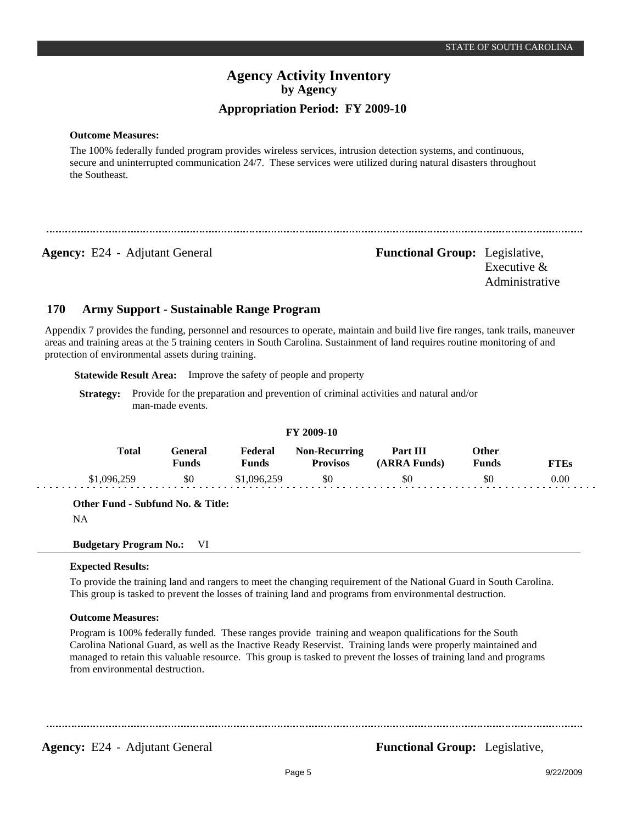**Outcome Measures:**

The 100% federally funded program provides wireless services, intrusion detection systems, and continuous, secure and uninterrupted communication 24/7. These services were utilized during natural disasters throughout the Southeast.

**Agency:** E24 - Adjutant General **Functional Group:** Legislative, Executive & Administrative

#### **Army Support - Sustainable Range Program 170**

Appendix 7 provides the funding, personnel and resources to operate, maintain and build live fire ranges, tank trails, maneuver areas and training areas at the 5 training centers in South Carolina. Sustainment of land requires routine monitoring of and protection of environmental assets during training.

**Statewide Result Area:** Improve the safety of people and property

**Strategy:** Provide for the preparation and prevention of criminal activities and natural and/or man-made events.

#### **FY 2009-10**

| Total       | General<br>Funds | Federal<br>Funds | <b>Non-Recurring</b><br><b>Provisos</b> | <b>Part III</b><br>(ARRA Funds) | Other<br><b>Funds</b> | FTEs |
|-------------|------------------|------------------|-----------------------------------------|---------------------------------|-----------------------|------|
| \$1,096,259 | \$0              | \$1,096,259      | \$0                                     | \$0                             | \$0                   | 0.00 |

**Other Fund - Subfund No. & Title:**

NA

**Budgetary Program No.:** VI

### **Expected Results:**

To provide the training land and rangers to meet the changing requirement of the National Guard in South Carolina. This group is tasked to prevent the losses of training land and programs from environmental destruction.

### **Outcome Measures:**

Program is 100% federally funded. These ranges provide training and weapon qualifications for the South Carolina National Guard, as well as the Inactive Ready Reservist. Training lands were properly maintained and managed to retain this valuable resource. This group is tasked to prevent the losses of training land and programs from environmental destruction.

**Agency:** E24 - Adjutant General **-** *Functional Group:* Legislative,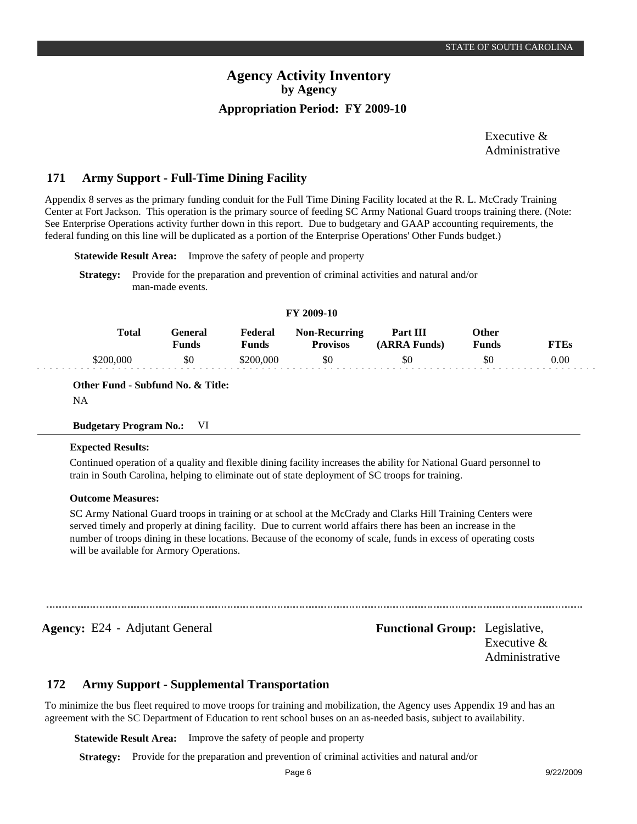Executive & Administrative

#### **Army Support - Full-Time Dining Facility 171**

Appendix 8 serves as the primary funding conduit for the Full Time Dining Facility located at the R. L. McCrady Training Center at Fort Jackson. This operation is the primary source of feeding SC Army National Guard troops training there. (Note: See Enterprise Operations activity further down in this report. Due to budgetary and GAAP accounting requirements, the federal funding on this line will be duplicated as a portion of the Enterprise Operations' Other Funds budget.)

**Statewide Result Area:** Improve the safety of people and property

**Strategy:** Provide for the preparation and prevention of criminal activities and natural and/or man-made events.

#### **FY 2009-10**

| Total   | :eneral<br>$F$ unds | Federal<br>r'unds | <b>Non-Recurring</b><br><b>Provisos</b> | Part III<br><b>ARRA Funds)</b> | Other<br>Funds |          |
|---------|---------------------|-------------------|-----------------------------------------|--------------------------------|----------------|----------|
| 200.000 | \$0                 | \$200.000         | \$0                                     | -50                            | \$0            | $0.00\,$ |

**Other Fund - Subfund No. & Title:**

NA

### **Budgetary Program No.:** VI

#### **Expected Results:**

Continued operation of a quality and flexible dining facility increases the ability for National Guard personnel to train in South Carolina, helping to eliminate out of state deployment of SC troops for training.

#### **Outcome Measures:**

SC Army National Guard troops in training or at school at the McCrady and Clarks Hill Training Centers were served timely and properly at dining facility. Due to current world affairs there has been an increase in the number of troops dining in these locations. Because of the economy of scale, funds in excess of operating costs will be available for Armory Operations.

**Agency:** E24 - Adjutant General **-** *Functional Group:* Legislative, Executive & Administrative

#### **Army Support - Supplemental Transportation 172**

To minimize the bus fleet required to move troops for training and mobilization, the Agency uses Appendix 19 and has an agreement with the SC Department of Education to rent school buses on an as-needed basis, subject to availability.

**Statewide Result Area:** Improve the safety of people and property

**Strategy:** Provide for the preparation and prevention of criminal activities and natural and/or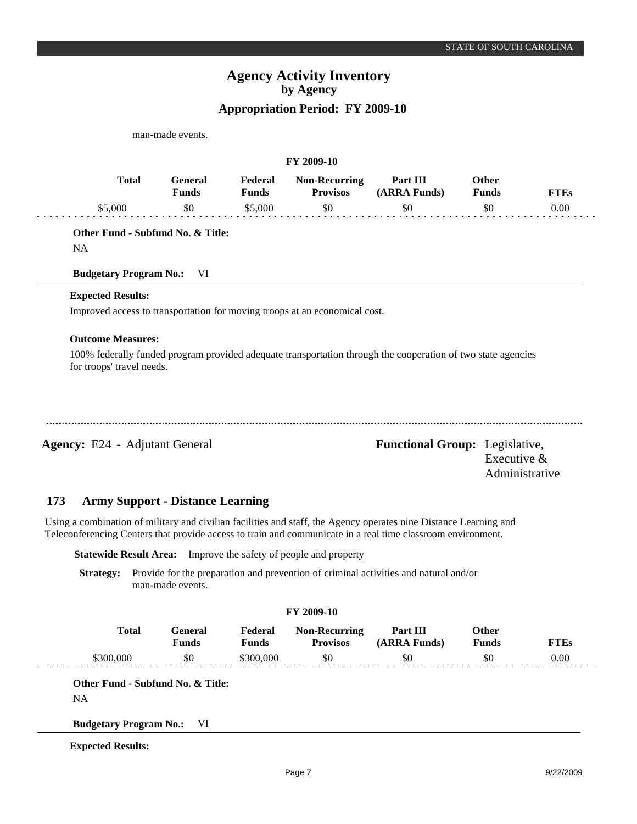man-made events. **Expected Results:** Improved access to transportation for moving troops at an economical cost. **FY 2009-10 General Funds**  \$0 **Other Funds** \$0 **Federal Funds**  \$5,000 **FTEs** 0.00 **Total**  \$5,000 **Outcome Measures:** 100% federally funded program provided adequate transportation through the cooperation of two state agencies for troops' travel needs. **Non-Recurring Provisos** \$0 **Part III (ARRA Funds)** \$0 **Other Fund - Subfund No. & Title:** NA **Budgetary Program No.:** VI

**Agency:** E24 - Adjutant General **-** *Functional Group:* Legislative, Executive & Administrative

#### **Army Support - Distance Learning 173**

Using a combination of military and civilian facilities and staff, the Agency operates nine Distance Learning and Teleconferencing Centers that provide access to train and communicate in a real time classroom environment.

**Statewide Result Area:** Improve the safety of people and property

**Strategy:** Provide for the preparation and prevention of criminal activities and natural and/or man-made events.

#### **FY 2009-10**

| Total | :eneral<br>Funds | Federal<br>$T$ unds | <b>Non-Recurring</b><br><b>Provisos</b> | Part III<br>(ARRA Funds) | <b>)ther</b><br>Funds | "TEs |
|-------|------------------|---------------------|-----------------------------------------|--------------------------|-----------------------|------|
|       | \$0              | \$300.000           | \$0                                     | \$0                      | SC                    | 0.00 |

**Other Fund - Subfund No. & Title:**

NA

**Budgetary Program No.:** VI

**Expected Results:**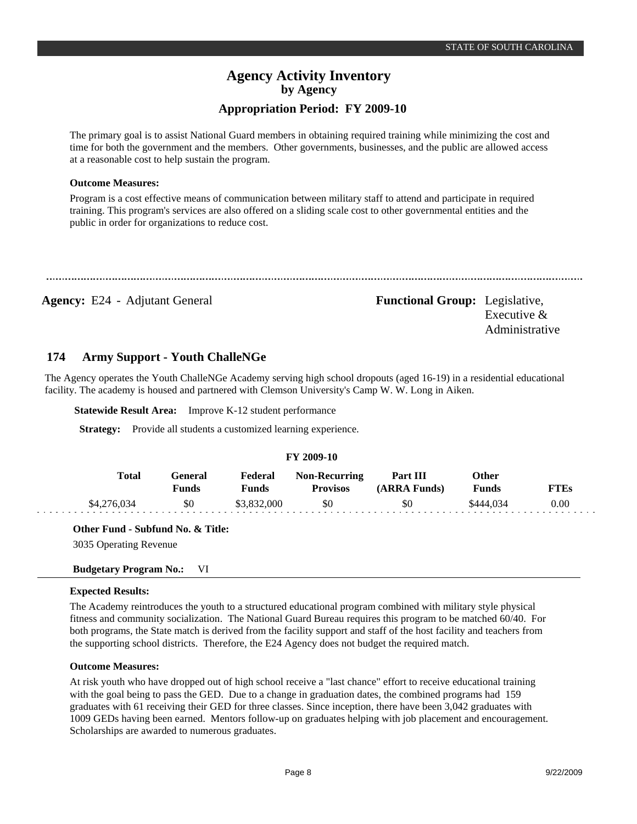The primary goal is to assist National Guard members in obtaining required training while minimizing the cost and time for both the government and the members. Other governments, businesses, and the public are allowed access at a reasonable cost to help sustain the program.

### **Outcome Measures:**

Program is a cost effective means of communication between military staff to attend and participate in required training. This program's services are also offered on a sliding scale cost to other governmental entities and the public in order for organizations to reduce cost.

### Agency: E24 - Adjutant General **Functional Group:** Legislative,

Executive & Administrative

#### **Army Support - Youth ChalleNGe 174**

The Agency operates the Youth ChalleNGe Academy serving high school dropouts (aged 16-19) in a residential educational facility. The academy is housed and partnered with Clemson University's Camp W. W. Long in Aiken.

**Statewide Result Area:** Improve K-12 student performance

**Strategy:** Provide all students a customized learning experience.

### **FY 2009-10**

| Total       | General<br>Funds | Federal<br>Funds | <b>Non-Recurring</b><br><b>Provisos</b> | Part III<br>(ARRA Funds) | Other<br><b>Funds</b> | <b>FTEs</b> |
|-------------|------------------|------------------|-----------------------------------------|--------------------------|-----------------------|-------------|
| \$4,276,034 | \$0              | \$3,832,000      | \$0                                     | \$0                      | \$444,034             | 0.00        |

**Other Fund - Subfund No. & Title:**

3035 Operating Revenue

### **Budgetary Program No.:** VI

### **Expected Results:**

The Academy reintroduces the youth to a structured educational program combined with military style physical fitness and community socialization. The National Guard Bureau requires this program to be matched 60/40. For both programs, the State match is derived from the facility support and staff of the host facility and teachers from the supporting school districts. Therefore, the E24 Agency does not budget the required match.

### **Outcome Measures:**

At risk youth who have dropped out of high school receive a "last chance" effort to receive educational training with the goal being to pass the GED. Due to a change in graduation dates, the combined programs had 159 graduates with 61 receiving their GED for three classes. Since inception, there have been 3,042 graduates with 1009 GEDs having been earned. Mentors follow-up on graduates helping with job placement and encouragement. Scholarships are awarded to numerous graduates.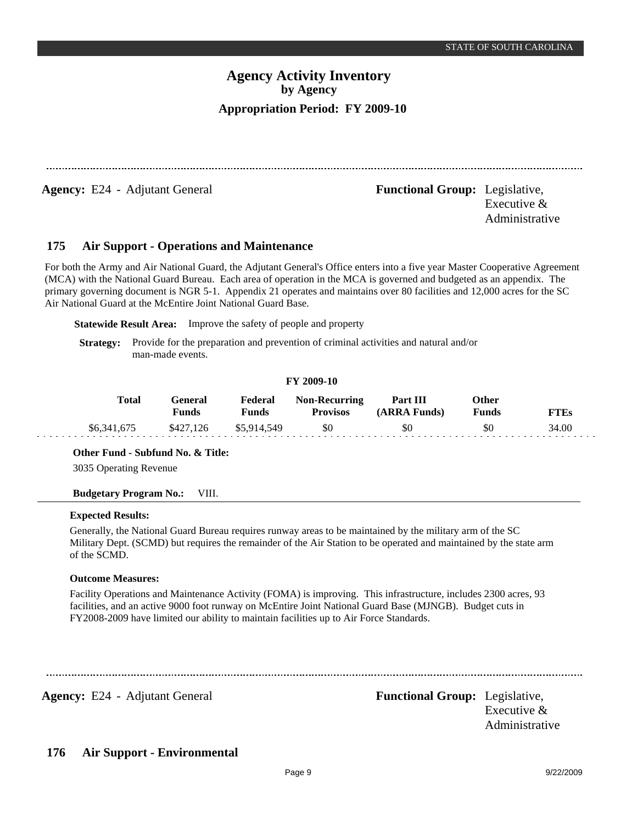**Agency:** E24 - Adjutant General **Functional Group:** Legislative,

Executive & Administrative

#### **Air Support - Operations and Maintenance 175**

For both the Army and Air National Guard, the Adjutant General's Office enters into a five year Master Cooperative Agreement (MCA) with the National Guard Bureau. Each area of operation in the MCA is governed and budgeted as an appendix. The primary governing document is NGR 5-1. Appendix 21 operates and maintains over 80 facilities and 12,000 acres for the SC Air National Guard at the McEntire Joint National Guard Base.

**Statewide Result Area:** Improve the safety of people and property

**Strategy:** Provide for the preparation and prevention of criminal activities and natural and/or man-made events.

### **FY 2009-10**

| Total       | General<br>Funds | Federal<br>Funds | <b>Non-Recurring</b><br><b>Provisos</b> | Part III<br>(ARRA Funds) | Other<br><b>Funds</b> | <b>TTEs</b> |
|-------------|------------------|------------------|-----------------------------------------|--------------------------|-----------------------|-------------|
| \$6,341,675 | \$427.126        | \$5,914,549      | \$0                                     | \$0                      | \$0                   | 34.00       |

**Other Fund - Subfund No. & Title:**

3035 Operating Revenue

### **Budgetary Program No.:** VIII.

### **Expected Results:**

Generally, the National Guard Bureau requires runway areas to be maintained by the military arm of the SC Military Dept. (SCMD) but requires the remainder of the Air Station to be operated and maintained by the state arm of the SCMD.

### **Outcome Measures:**

Facility Operations and Maintenance Activity (FOMA) is improving. This infrastructure, includes 2300 acres, 93 facilities, and an active 9000 foot runway on McEntire Joint National Guard Base (MJNGB). Budget cuts in FY2008-2009 have limited our ability to maintain facilities up to Air Force Standards.

**Agency:** E24 - Adjutant General **-** *Functional Group:* Legislative,

Executive & Administrative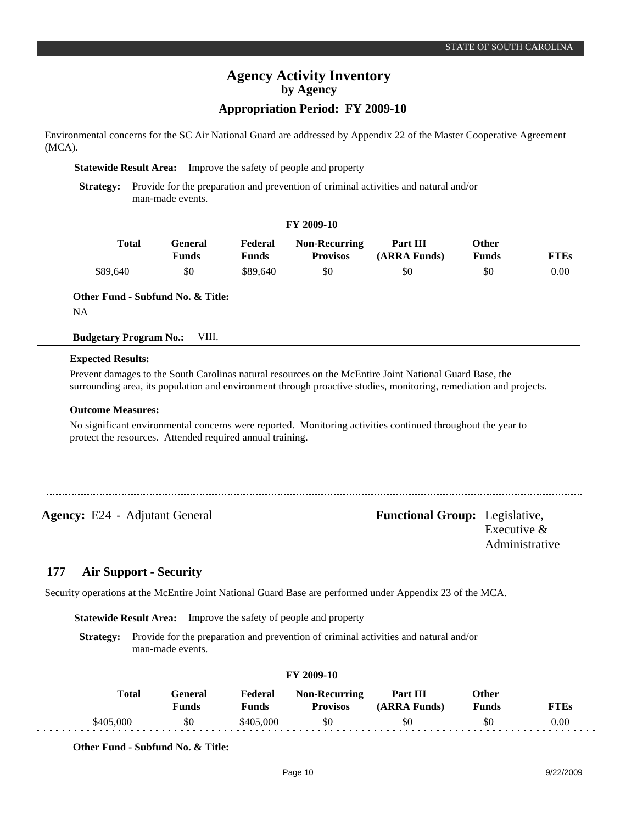Environmental concerns for the SC Air National Guard are addressed by Appendix 22 of the Master Cooperative Agreement (MCA).

**Statewide Result Area:** Improve the safety of people and property

**Strategy:** Provide for the preparation and prevention of criminal activities and natural and/or man-made events.

#### **FY 2009-10**

| Total    | General<br>Funds | Federal<br>Funds | <b>Non-Recurring</b><br><b>Provisos</b> | Part III<br>(ARRA Funds) | Other<br><b>Funds</b> | <b>FTEs</b> |
|----------|------------------|------------------|-----------------------------------------|--------------------------|-----------------------|-------------|
| \$89,640 | \$0              | \$89,640         | \$0                                     | \$0                      | \$0                   | 0.00        |

**Other Fund - Subfund No. & Title:** NA

### **Budgetary Program No.:** VIII.

#### **Expected Results:**

Prevent damages to the South Carolinas natural resources on the McEntire Joint National Guard Base, the surrounding area, its population and environment through proactive studies, monitoring, remediation and projects.

#### **Outcome Measures:**

No significant environmental concerns were reported. Monitoring activities continued throughout the year to protect the resources. Attended required annual training.

**Agency:** E24 - Adjutant General **-** *Functional Group:* Legislative, Executive &

Administrative

#### **Air Support - Security 177**

Security operations at the McEntire Joint National Guard Base are performed under Appendix 23 of the MCA.

**Statewide Result Area:** Improve the safety of people and property

**Strategy:** Provide for the preparation and prevention of criminal activities and natural and/or man-made events.

| FY 2009-10 |  |  |
|------------|--|--|
|------------|--|--|

| Total     | Feneral<br>Funds | Federal<br>Funds     | <b>Non-Recurring</b><br><b>Provisos</b> | Part III<br>(ARRA Funds) | Other<br><b>Funds</b> | FTEs |
|-----------|------------------|----------------------|-----------------------------------------|--------------------------|-----------------------|------|
| \$405,000 | \$0              | $\frac{1}{2}405,000$ | \$0                                     | \$0                      | \$C                   | 0.00 |

**Other Fund - Subfund No. & Title:**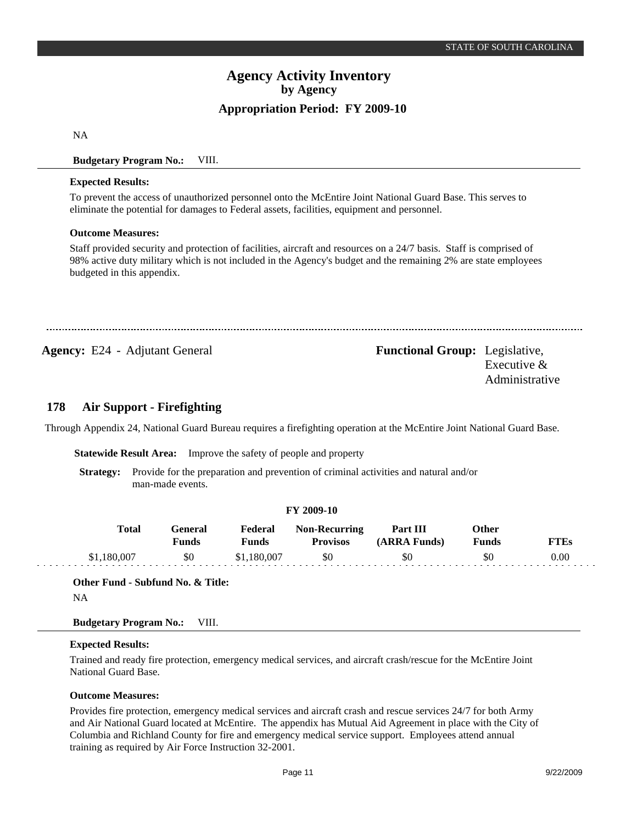NA

### **Budgetary Program No.:** VIII.

#### **Expected Results:**

To prevent the access of unauthorized personnel onto the McEntire Joint National Guard Base. This serves to eliminate the potential for damages to Federal assets, facilities, equipment and personnel.

#### **Outcome Measures:**

Staff provided security and protection of facilities, aircraft and resources on a 24/7 basis. Staff is comprised of 98% active duty military which is not included in the Agency's budget and the remaining 2% are state employees budgeted in this appendix.

**Agency:** E24 - Adjutant General **Functional Group:** Legislative,

Executive & Administrative

#### **Air Support - Firefighting 178**

Through Appendix 24, National Guard Bureau requires a firefighting operation at the McEntire Joint National Guard Base.

**FY 2009-10**

**Statewide Result Area:** Improve the safety of people and property

**Strategy:** Provide for the preparation and prevention of criminal activities and natural and/or man-made events.

| $\sim$ $\sim$ $\sim$ $\sim$ $\sim$ |                  |                         |                                         |                          |                              |             |  |  |  |  |
|------------------------------------|------------------|-------------------------|-----------------------------------------|--------------------------|------------------------------|-------------|--|--|--|--|
| <b>Total</b>                       | General<br>Funds | Federal<br><b>Funds</b> | <b>Non-Recurring</b><br><b>Provisos</b> | Part III<br>(ARRA Funds) | <b>Other</b><br><b>Funds</b> | <b>FTEs</b> |  |  |  |  |
| \$1,180,007                        | \$0              | \$1,180,007             | \$0                                     | \$0                      | \$0                          | 0.00        |  |  |  |  |

**Other Fund - Subfund No. & Title:** NA

### **Budgetary Program No.:** VIII.

#### **Expected Results:**

a a a a a a a

Trained and ready fire protection, emergency medical services, and aircraft crash/rescue for the McEntire Joint National Guard Base.

### **Outcome Measures:**

Provides fire protection, emergency medical services and aircraft crash and rescue services 24/7 for both Army and Air National Guard located at McEntire. The appendix has Mutual Aid Agreement in place with the City of Columbia and Richland County for fire and emergency medical service support. Employees attend annual training as required by Air Force Instruction 32-2001.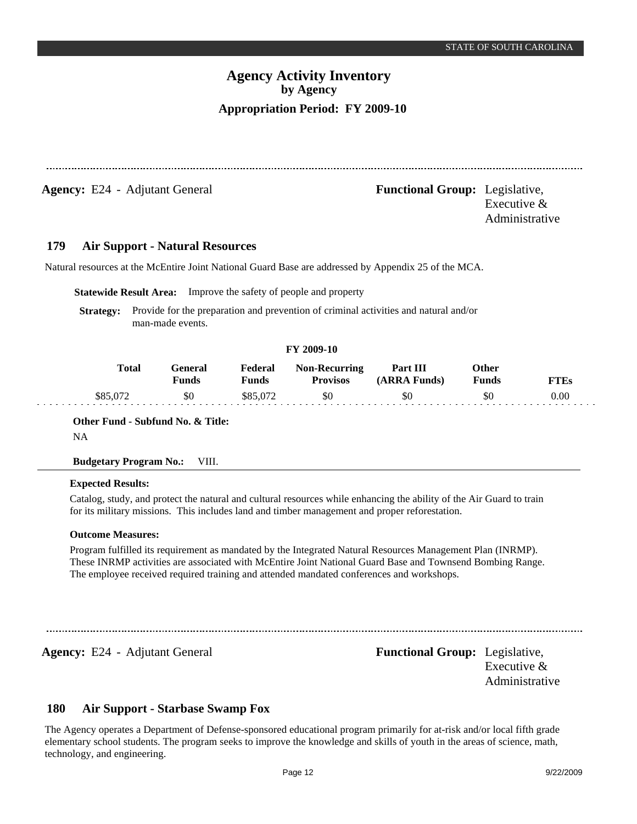**Agency:** E24 - Adjutant General **-** *Functional Group:* Legislative, Executive & Administrative **179 Air Support - Natural Resources** Natural resources at the McEntire Joint National Guard Base are addressed by Appendix 25 of the MCA. **Statewide Result Area:** Improve the safety of people and property **Strategy:** Provide for the preparation and prevention of criminal activities and natural and/or man-made events. **FY 2009-10**

| <b>Total</b>     | General<br>Funds | Federal<br>Funds | <b>Non-Recurring</b><br><b>Provisos</b> | Part III<br>(ARRA Funds) | Other<br><b>Funds</b> | <b>FTEs</b> |
|------------------|------------------|------------------|-----------------------------------------|--------------------------|-----------------------|-------------|
| $$85,07^{\circ}$ | \$0              | \$85.072         | \$0                                     | \$0                      | SC                    | $0.00\,$    |

**Other Fund - Subfund No. & Title:**

NA

**Budgetary Program No.:** VIII.

### **Expected Results:**

Catalog, study, and protect the natural and cultural resources while enhancing the ability of the Air Guard to train for its military missions. This includes land and timber management and proper reforestation.

### **Outcome Measures:**

Program fulfilled its requirement as mandated by the Integrated Natural Resources Management Plan (INRMP). These INRMP activities are associated with McEntire Joint National Guard Base and Townsend Bombing Range. The employee received required training and attended mandated conferences and workshops.

**Agency:** E24 - Adjutant General **-** *Functional Group:* Legislative,

Executive & Administrative

#### **Air Support - Starbase Swamp Fox 180**

The Agency operates a Department of Defense-sponsored educational program primarily for at-risk and/or local fifth grade elementary school students. The program seeks to improve the knowledge and skills of youth in the areas of science, math, technology, and engineering.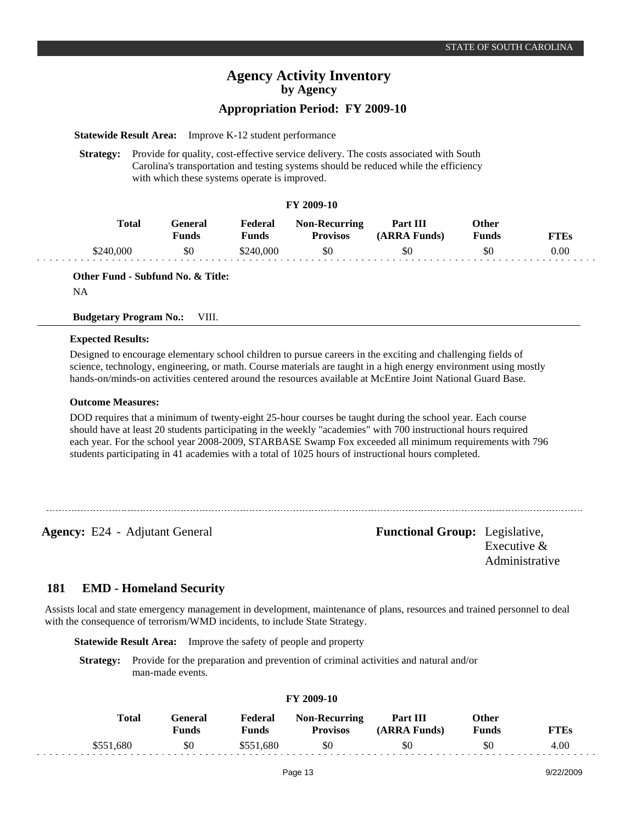## **Appropriation Period: FY 2009-10**

**Statewide Result Area:** Improve K-12 student performance

**Strategy:** Provide for quality, cost-effective service delivery. The costs associated with South Carolina's transportation and testing systems should be reduced while the efficiency with which these systems operate is improved.

#### **FY 2009-10**

| Total     | General<br><b>Funds</b> | Federal<br>Funds | <b>Non-Recurring</b><br><b>Provisos</b> | Part III<br>(ARRA Funds) | Other<br>Funds | <b>FTEs</b> |
|-----------|-------------------------|------------------|-----------------------------------------|--------------------------|----------------|-------------|
| \$240,000 | \$0                     | \$240,000        | \$0                                     | \$0                      | \$0            | 0.00        |

**Other Fund - Subfund No. & Title:**

NA

 $\omega$  ,  $\omega$  ,  $\omega$ 

#### **Budgetary Program No.:** VIII.

#### **Expected Results:**

Designed to encourage elementary school children to pursue careers in the exciting and challenging fields of science, technology, engineering, or math. Course materials are taught in a high energy environment using mostly hands-on/minds-on activities centered around the resources available at McEntire Joint National Guard Base.

#### **Outcome Measures:**

DOD requires that a minimum of twenty-eight 25-hour courses be taught during the school year. Each course should have at least 20 students participating in the weekly "academies" with 700 instructional hours required each year. For the school year 2008-2009, STARBASE Swamp Fox exceeded all minimum requirements with 796 students participating in 41 academies with a total of 1025 hours of instructional hours completed.

**Agency:** E24 - Adjutant General **-** *Functional Group:* Legislative, Executive & Administrative

#### **EMD - Homeland Security 181**

Assists local and state emergency management in development, maintenance of plans, resources and trained personnel to deal with the consequence of terrorism/WMD incidents, to include State Strategy.

**Statewide Result Area:** Improve the safety of people and property

**Strategy:** Provide for the preparation and prevention of criminal activities and natural and/or man-made events.

| 11 2002-10 |                         |                  |                                         |                          |                |             |  |  |  |  |  |
|------------|-------------------------|------------------|-----------------------------------------|--------------------------|----------------|-------------|--|--|--|--|--|
| Total      | General<br><b>Funds</b> | Federal<br>Funds | <b>Non-Recurring</b><br><b>Provisos</b> | Part III<br>(ARRA Funds) | Other<br>Funds | <b>FTEs</b> |  |  |  |  |  |
| \$551,680  | \$0                     | \$551,680        | \$0                                     | \$0                      | \$0            | 4.00        |  |  |  |  |  |

**FY 2009-10**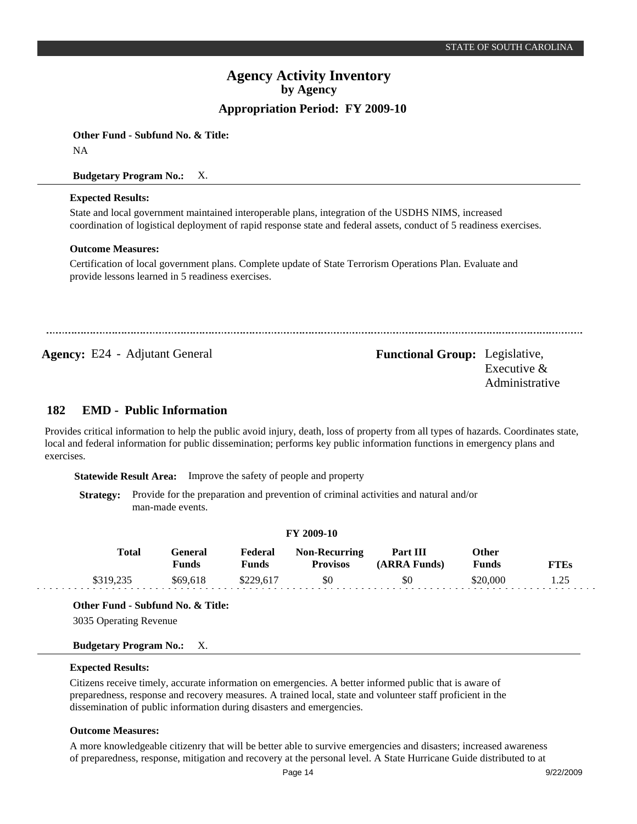**Other Fund - Subfund No. & Title:**

NA

**Budgetary Program No.:** X.

### **Expected Results:**

State and local government maintained interoperable plans, integration of the USDHS NIMS, increased coordination of logistical deployment of rapid response state and federal assets, conduct of 5 readiness exercises.

### **Outcome Measures:**

Certification of local government plans. Complete update of State Terrorism Operations Plan. Evaluate and provide lessons learned in 5 readiness exercises.

Agency: E24 - Adjutant General **Functional Group:** Legislative,

Executive & Administrative

#### **EMD - Public Information 182**

Provides critical information to help the public avoid injury, death, loss of property from all types of hazards. Coordinates state, local and federal information for public dissemination; performs key public information functions in emergency plans and exercises.

**Statewide Result Area:** Improve the safety of people and property

**Strategy:** Provide for the preparation and prevention of criminal activities and natural and/or man-made events.

### **FY 2009-10**

| Total     | General<br>Funds | Federal<br>Funds | <b>Non-Recurring</b><br><b>Provisos</b> | Part III<br>(ARRA Funds) | Other<br>Funds | <b>FTEs</b> |
|-----------|------------------|------------------|-----------------------------------------|--------------------------|----------------|-------------|
| \$319.235 | \$69,618         | \$229,617        | \$0                                     | \$0                      | \$20,000       |             |

**Other Fund - Subfund No. & Title:**

3035 Operating Revenue

### **Budgetary Program No.:** X.

### **Expected Results:**

Citizens receive timely, accurate information on emergencies. A better informed public that is aware of preparedness, response and recovery measures. A trained local, state and volunteer staff proficient in the dissemination of public information during disasters and emergencies.

### **Outcome Measures:**

A more knowledgeable citizenry that will be better able to survive emergencies and disasters; increased awareness of preparedness, response, mitigation and recovery at the personal level. A State Hurricane Guide distributed to at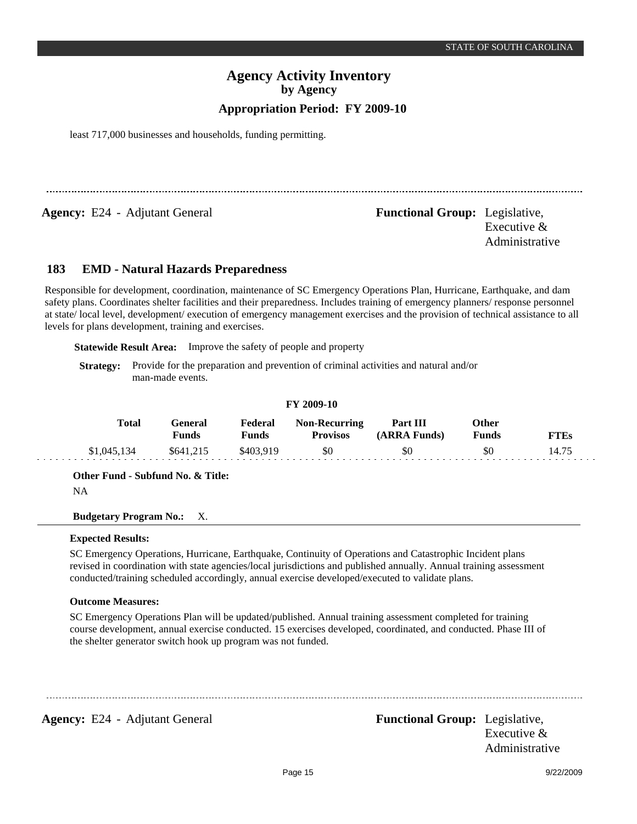least 717,000 businesses and households, funding permitting.

**Agency:** E24 - Adjutant General **-** *Functional Group:* Legislative,

Executive & Administrative

#### **EMD - Natural Hazards Preparedness 183**

Responsible for development, coordination, maintenance of SC Emergency Operations Plan, Hurricane, Earthquake, and dam safety plans. Coordinates shelter facilities and their preparedness. Includes training of emergency planners/ response personnel at state/ local level, development/ execution of emergency management exercises and the provision of technical assistance to all levels for plans development, training and exercises.

**Statewide Result Area:** Improve the safety of people and property

**Strategy:** Provide for the preparation and prevention of criminal activities and natural and/or man-made events.

#### **FY 2009-10**

| Total       | <del>`e</del> neral<br>Funds | Federal<br><b>Funds</b> | <b>Non-Recurring</b><br><b>Provisos</b> | Part III<br>(ARRA Funds) | Other<br>Funds | <b>FTEs</b> |
|-------------|------------------------------|-------------------------|-----------------------------------------|--------------------------|----------------|-------------|
| \$1,045,134 | \$641,215                    | \$403,919               | \$0                                     | \$0                      | \$0            | 14.75       |

**Other Fund - Subfund No. & Title:**

NA

**Budgetary Program No.:** X.

### **Expected Results:**

SC Emergency Operations, Hurricane, Earthquake, Continuity of Operations and Catastrophic Incident plans revised in coordination with state agencies/local jurisdictions and published annually. Annual training assessment conducted/training scheduled accordingly, annual exercise developed/executed to validate plans.

### **Outcome Measures:**

SC Emergency Operations Plan will be updated/published. Annual training assessment completed for training course development, annual exercise conducted. 15 exercises developed, coordinated, and conducted. Phase III of the shelter generator switch hook up program was not funded.

**Agency:** E24 - Adjutant General **Functional Group:** Legislative,

Executive & Administrative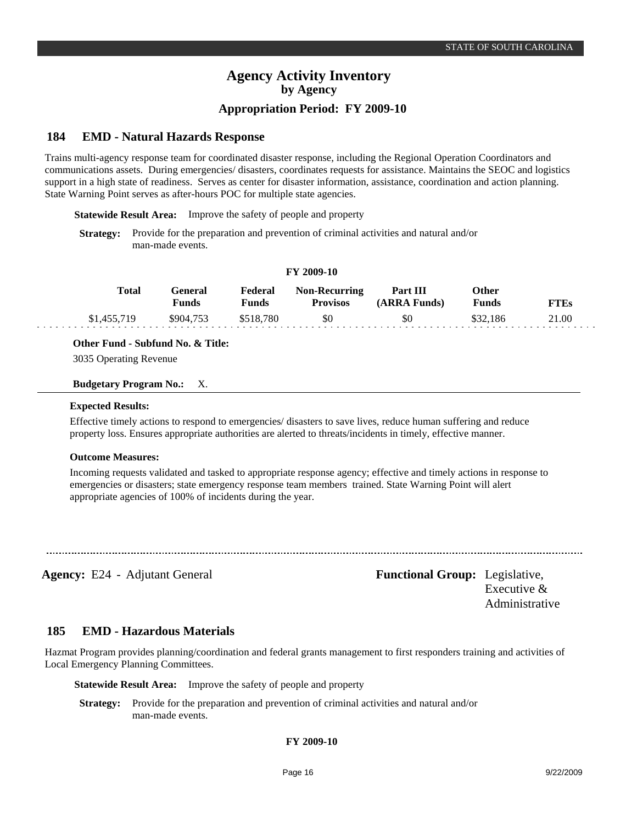# **Appropriation Period: FY 2009-10**

#### **EMD - Natural Hazards Response 184**

Trains multi-agency response team for coordinated disaster response, including the Regional Operation Coordinators and communications assets. During emergencies/ disasters, coordinates requests for assistance. Maintains the SEOC and logistics support in a high state of readiness. Serves as center for disaster information, assistance, coordination and action planning. State Warning Point serves as after-hours POC for multiple state agencies.

**Statewide Result Area:** Improve the safety of people and property

**Strategy:** Provide for the preparation and prevention of criminal activities and natural and/or man-made events.

| $\sim$ $\sim$ $\sim$ $\sim$ $\sim$ |                         |                  |                                         |                          |                |             |  |  |  |  |  |
|------------------------------------|-------------------------|------------------|-----------------------------------------|--------------------------|----------------|-------------|--|--|--|--|--|
| Total                              | General<br><b>Funds</b> | Federal<br>Funds | <b>Non-Recurring</b><br><b>Provisos</b> | Part III<br>(ARRA Funds) | Other<br>Funds | <b>FTEs</b> |  |  |  |  |  |
| \$1,455,719                        | \$904,753               | \$518.780        | \$0                                     | \$0                      | \$32.186       | 21.00       |  |  |  |  |  |

**FY 2009-10**

### **Other Fund - Subfund No. & Title:**

3035 Operating Revenue

#### **Budgetary Program No.:** X.

#### **Expected Results:**

Effective timely actions to respond to emergencies/ disasters to save lives, reduce human suffering and reduce property loss. Ensures appropriate authorities are alerted to threats/incidents in timely, effective manner.

#### **Outcome Measures:**

Incoming requests validated and tasked to appropriate response agency; effective and timely actions in response to emergencies or disasters; state emergency response team members trained. State Warning Point will alert appropriate agencies of 100% of incidents during the year.

Agency: E24 - Adjutant General **Functional Group:** Legislative, Executive & Administrative

#### **EMD - Hazardous Materials 185**

Hazmat Program provides planning/coordination and federal grants management to first responders training and activities of Local Emergency Planning Committees.

**Statewide Result Area:** Improve the safety of people and property

**Strategy:** Provide for the preparation and prevention of criminal activities and natural and/or man-made events.

#### **FY 2009-10**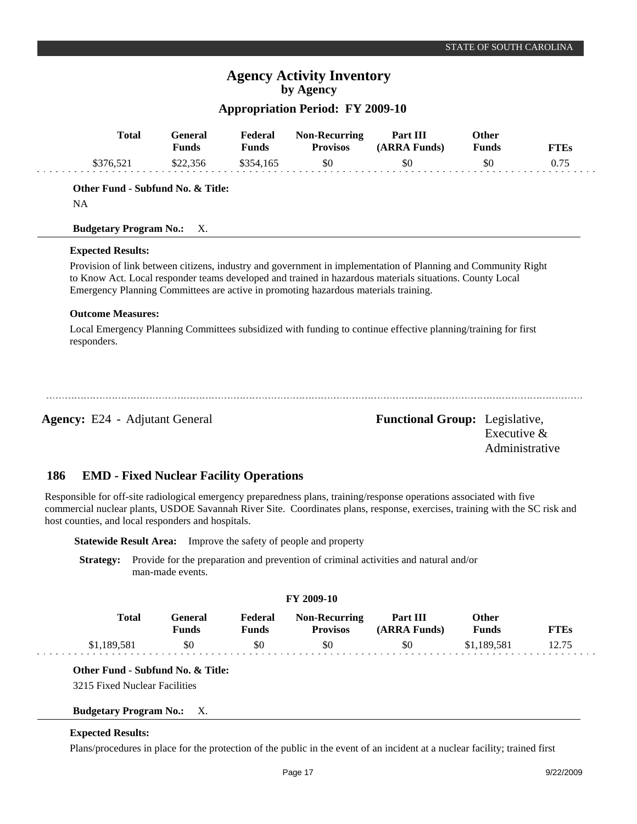# **Appropriation Period: FY 2009-10**

| <b>Total</b>                                                                                                                                                                                                                                                                                               | <b>General</b><br><b>Funds</b> | Federal<br><b>Funds</b> | <b>Non-Recurring</b><br><b>Provisos</b> | Part III<br>(ARRA Funds)                                                                                                                                                                                                  | Other<br><b>Funds</b> | <b>FTEs</b> |
|------------------------------------------------------------------------------------------------------------------------------------------------------------------------------------------------------------------------------------------------------------------------------------------------------------|--------------------------------|-------------------------|-----------------------------------------|---------------------------------------------------------------------------------------------------------------------------------------------------------------------------------------------------------------------------|-----------------------|-------------|
| \$376,521                                                                                                                                                                                                                                                                                                  | \$22,356                       | \$354,165               | \$0                                     | \$0                                                                                                                                                                                                                       | \$0                   | 0.75        |
| Other Fund - Subfund No. & Title:                                                                                                                                                                                                                                                                          |                                |                         |                                         |                                                                                                                                                                                                                           |                       |             |
| <b>NA</b>                                                                                                                                                                                                                                                                                                  |                                |                         |                                         |                                                                                                                                                                                                                           |                       |             |
| <b>Budgetary Program No.:</b> X.                                                                                                                                                                                                                                                                           |                                |                         |                                         |                                                                                                                                                                                                                           |                       |             |
| <b>Expected Results:</b>                                                                                                                                                                                                                                                                                   |                                |                         |                                         |                                                                                                                                                                                                                           |                       |             |
| Emergency Planning Committees are active in promoting hazardous materials training.                                                                                                                                                                                                                        |                                |                         |                                         | Provision of link between citizens, industry and government in implementation of Planning and Community Right<br>to Know Act. Local responder teams developed and trained in hazardous materials situations. County Local |                       |             |
| <b>Outcome Measures:</b>                                                                                                                                                                                                                                                                                   |                                |                         |                                         |                                                                                                                                                                                                                           |                       |             |
| responders.                                                                                                                                                                                                                                                                                                |                                |                         |                                         | Local Emergency Planning Committees subsidized with funding to continue effective planning/training for first                                                                                                             |                       |             |
| <b>Agency:</b> E24 - Adjutant General                                                                                                                                                                                                                                                                      |                                |                         |                                         | <b>Functional Group:</b> Legislative,                                                                                                                                                                                     | Executive $&$         |             |
|                                                                                                                                                                                                                                                                                                            |                                |                         |                                         |                                                                                                                                                                                                                           | Administrative        |             |
| 186<br><b>EMD - Fixed Nuclear Facility Operations</b>                                                                                                                                                                                                                                                      |                                |                         |                                         |                                                                                                                                                                                                                           |                       |             |
|                                                                                                                                                                                                                                                                                                            |                                |                         |                                         |                                                                                                                                                                                                                           |                       |             |
| Responsible for off-site radiological emergency preparedness plans, training/response operations associated with five<br>commercial nuclear plants, USDOE Savannah River Site. Coordinates plans, response, exercises, training with the SC risk and<br>host counties, and local responders and hospitals. |                                |                         |                                         |                                                                                                                                                                                                                           |                       |             |

**Statewide Result Area:** Improve the safety of people and property

**Strategy:** Provide for the preparation and prevention of criminal activities and natural and/or man-made events.

#### **FY 2009-10**

| Total       | General<br>Funds | Federal<br>Funds | <b>Non-Recurring</b><br><b>Provisos</b> | Part III<br>(ARRA Funds) | Other<br><b>Funds</b> | <b>FTEs</b> |
|-------------|------------------|------------------|-----------------------------------------|--------------------------|-----------------------|-------------|
| \$1,189,581 | \$0              | SO.              | \$0                                     | \$0                      | \$1.189.581           | 12.75       |

### **Other Fund - Subfund No. & Title:**

3215 Fixed Nuclear Facilities

### **Budgetary Program No.:** X.

### **Expected Results:**

Plans/procedures in place for the protection of the public in the event of an incident at a nuclear facility; trained first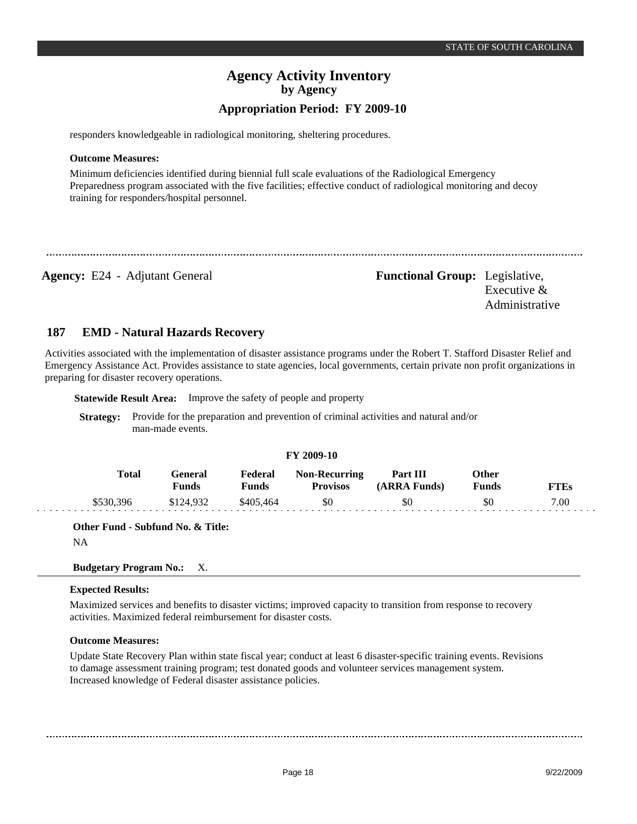responders knowledgeable in radiological monitoring, sheltering procedures.

#### **Outcome Measures:**

Minimum deficiencies identified during biennial full scale evaluations of the Radiological Emergency Preparedness program associated with the five facilities; effective conduct of radiological monitoring and decoy training for responders/hospital personnel.

**Agency:** E24 - Adjutant General **-** *Functional Group:* Legislative, Executive & Administrative

#### **EMD - Natural Hazards Recovery 187**

Activities associated with the implementation of disaster assistance programs under the Robert T. Stafford Disaster Relief and Emergency Assistance Act. Provides assistance to state agencies, local governments, certain private non profit organizations in preparing for disaster recovery operations.

**Statewide Result Area:** Improve the safety of people and property

**Strategy:** Provide for the preparation and prevention of criminal activities and natural and/or man-made events.

#### **FY 2009-10**

| <b>Total</b> | General)<br>Funds | Federal<br>Funds | <b>Non-Recurring</b><br><b>Provisos</b> | Part III<br>(ARRA Funds) | Other<br>Funds | FTEs |
|--------------|-------------------|------------------|-----------------------------------------|--------------------------|----------------|------|
| \$530,396    | \$124,932         | \$405.464        | \$0                                     | \$0                      | \$0            | 7.00 |

**Other Fund - Subfund No. & Title:**

NA

#### **Budgetary Program No.:** X.

### **Expected Results:**

Maximized services and benefits to disaster victims; improved capacity to transition from response to recovery activities. Maximized federal reimbursement for disaster costs.

### **Outcome Measures:**

Update State Recovery Plan within state fiscal year; conduct at least 6 disaster-specific training events. Revisions to damage assessment training program; test donated goods and volunteer services management system. Increased knowledge of Federal disaster assistance policies.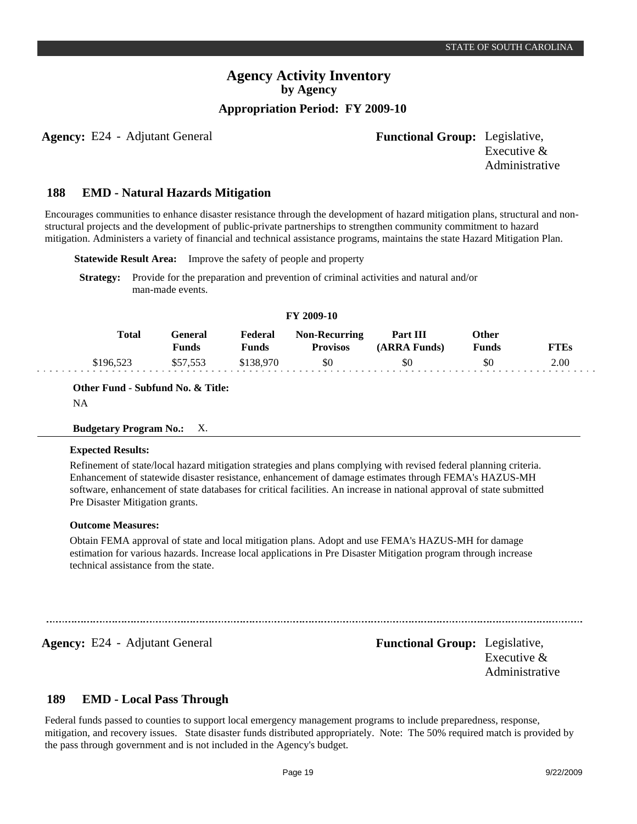**Agency:** E24 - Adjutant General **Functional Group:** Legislative,

Executive & Administrative

#### **EMD - Natural Hazards Mitigation 188**

Encourages communities to enhance disaster resistance through the development of hazard mitigation plans, structural and nonstructural projects and the development of public-private partnerships to strengthen community commitment to hazard mitigation. Administers a variety of financial and technical assistance programs, maintains the state Hazard Mitigation Plan.

**Statewide Result Area:** Improve the safety of people and property

**Strategy:** Provide for the preparation and prevention of criminal activities and natural and/or man-made events.

| <b>FY 2009-10</b> |                         |                  |                                         |                                 |                              |      |  |  |  |  |
|-------------------|-------------------------|------------------|-----------------------------------------|---------------------------------|------------------------------|------|--|--|--|--|
| <b>Total</b>      | General<br><b>Funds</b> | Federal<br>Funds | <b>Non-Recurring</b><br><b>Provisos</b> | <b>Part III</b><br>(ARRA Funds) | <b>Other</b><br><b>Funds</b> | FTEs |  |  |  |  |
| \$196.523         | \$57.553                | \$138,970        | \$0                                     | \$0                             | \$0                          | 2.00 |  |  |  |  |

**Other Fund - Subfund No. & Title:**

NA

#### **Budgetary Program No.:** X.

#### **Expected Results:**

Refinement of state/local hazard mitigation strategies and plans complying with revised federal planning criteria. Enhancement of statewide disaster resistance, enhancement of damage estimates through FEMA's HAZUS-MH software, enhancement of state databases for critical facilities. An increase in national approval of state submitted Pre Disaster Mitigation grants.

#### **Outcome Measures:**

Obtain FEMA approval of state and local mitigation plans. Adopt and use FEMA's HAZUS-MH for damage estimation for various hazards. Increase local applications in Pre Disaster Mitigation program through increase technical assistance from the state.

**Agency:** E24 - Adjutant General **-** *Functional Group:* Legislative,

Executive & Administrative

#### **EMD - Local Pass Through 189**

Federal funds passed to counties to support local emergency management programs to include preparedness, response, mitigation, and recovery issues. State disaster funds distributed appropriately. Note: The 50% required match is provided by the pass through government and is not included in the Agency's budget.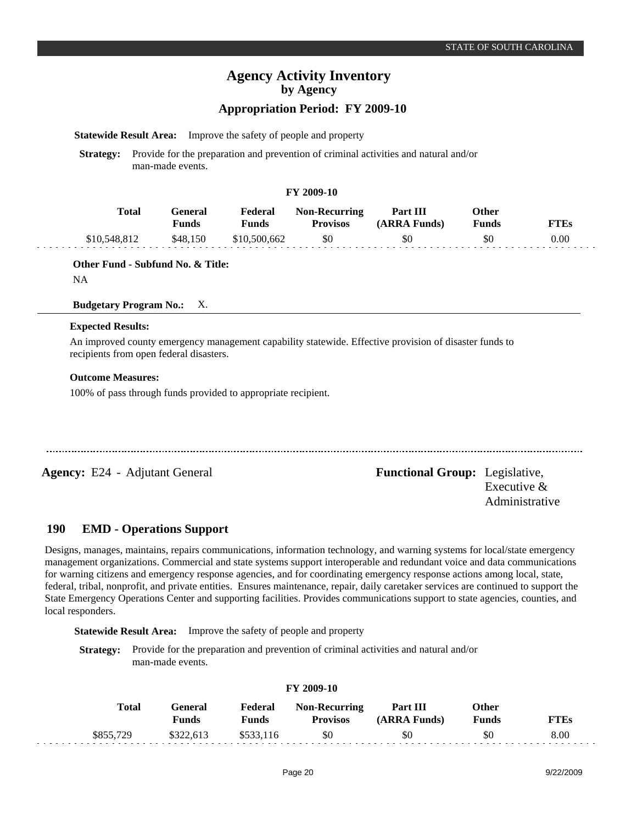## **Appropriation Period: FY 2009-10**

**Statewide Result Area:** Improve the safety of people and property

**Strategy:** Provide for the preparation and prevention of criminal activities and natural and/or man-made events.

#### **FY 2009-10**

| <b>Total</b> | General<br><b>Funds</b> | Federal<br>Funds | <b>Non-Recurring</b><br><b>Provisos</b> | Part III<br>(ARRA Funds) | Other<br><b>Funds</b> | FTEs |
|--------------|-------------------------|------------------|-----------------------------------------|--------------------------|-----------------------|------|
| \$10,548,812 | \$48.150                | \$10,500,662     | \$0                                     | \$0                      | \$0                   | 0.00 |

**Other Fund - Subfund No. & Title:**

NA

#### **Budgetary Program No.:** X.

### **Expected Results:**

An improved county emergency management capability statewide. Effective provision of disaster funds to recipients from open federal disasters.

#### **Outcome Measures:**

100% of pass through funds provided to appropriate recipient.

**Agency:** E24 - Adjutant General **-** *Functional Group:* Legislative, Executive & Administrative

#### **EMD - Operations Support 190**

Designs, manages, maintains, repairs communications, information technology, and warning systems for local/state emergency management organizations. Commercial and state systems support interoperable and redundant voice and data communications for warning citizens and emergency response agencies, and for coordinating emergency response actions among local, state, federal, tribal, nonprofit, and private entities. Ensures maintenance, repair, daily caretaker services are continued to support the State Emergency Operations Center and supporting facilities. Provides communications support to state agencies, counties, and local responders.

**Statewide Result Area:** Improve the safety of people and property

**Strategy:** Provide for the preparation and prevention of criminal activities and natural and/or man-made events.

| <b>Total</b> | General<br>Funds | Federal<br>Funds | <b>Non-Recurring</b><br><b>Provisos</b> | Part III<br>(ARRA Funds) | Other<br>Funds | FTEs |
|--------------|------------------|------------------|-----------------------------------------|--------------------------|----------------|------|
| \$855,729    | \$322,613        | \$533,116        | \$0                                     | \$0                      | \$0            | 8.00 |

### **FY 2009-10**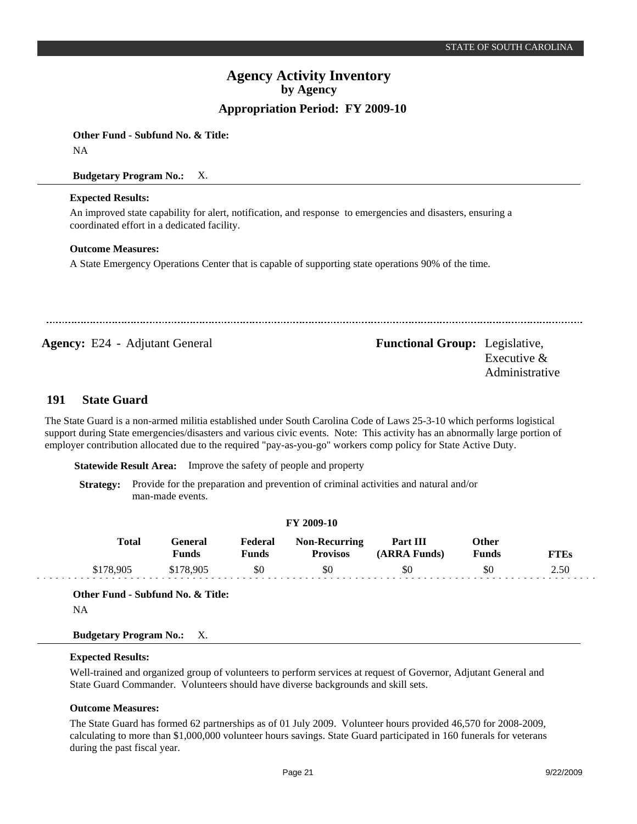**Other Fund - Subfund No. & Title:**

NA

**Budgetary Program No.:** X.

#### **Expected Results:**

An improved state capability for alert, notification, and response to emergencies and disasters, ensuring a coordinated effort in a dedicated facility.

### **Outcome Measures:**

A State Emergency Operations Center that is capable of supporting state operations 90% of the time.

**Agency:** E24 - Adjutant General Functional Group: Legislative, Executive & Administrative

#### **State Guard 191**

The State Guard is a non-armed militia established under South Carolina Code of Laws 25-3-10 which performs logistical support during State emergencies/disasters and various civic events. Note: This activity has an abnormally large portion of employer contribution allocated due to the required "pay-as-you-go" workers comp policy for State Active Duty.

**Statewide Result Area:** Improve the safety of people and property

**Strategy:** Provide for the preparation and prevention of criminal activities and natural and/or man-made events.

#### **FY 2009-10**

| Total     | General<br>Funds | Federal<br>Funds | <b>Non-Recurring</b><br><b>Provisos</b> | Part III<br>(ARRA Funds) | Other<br><b>Funds</b> | FTEs |
|-----------|------------------|------------------|-----------------------------------------|--------------------------|-----------------------|------|
| \$178,905 | \$178,905        | \$0              | \$0                                     | \$0                      | \$0                   | 2.50 |

**Other Fund - Subfund No. & Title:**

NA

### **Budgetary Program No.:** X.

#### **Expected Results:**

Well-trained and organized group of volunteers to perform services at request of Governor, Adjutant General and State Guard Commander. Volunteers should have diverse backgrounds and skill sets.

#### **Outcome Measures:**

The State Guard has formed 62 partnerships as of 01 July 2009. Volunteer hours provided 46,570 for 2008-2009, calculating to more than \$1,000,000 volunteer hours savings. State Guard participated in 160 funerals for veterans during the past fiscal year.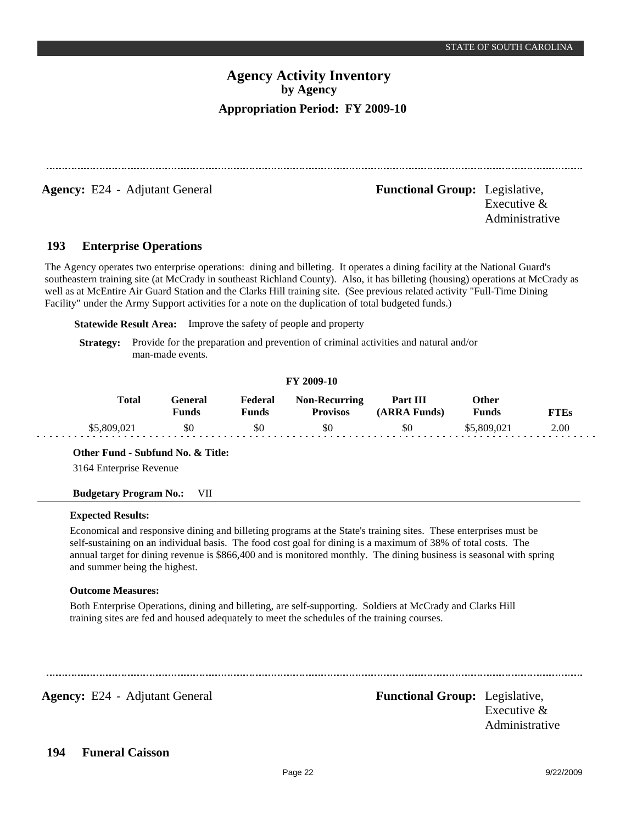**Agency:** E24 - Adjutant General **-** *Functional Group:* Legislative,

Executive & Administrative

#### **Enterprise Operations 193**

The Agency operates two enterprise operations: dining and billeting. It operates a dining facility at the National Guard's southeastern training site (at McCrady in southeast Richland County). Also, it has billeting (housing) operations at McCrady as well as at McEntire Air Guard Station and the Clarks Hill training site. (See previous related activity "Full-Time Dining Facility" under the Army Support activities for a note on the duplication of total budgeted funds.)

**Statewide Result Area:** Improve the safety of people and property

**Strategy:** Provide for the preparation and prevention of criminal activities and natural and/or man-made events.

#### **FY 2009-10**

| <b>Total</b>  | Feneral<br>Funds | Federal<br><b>Funds</b> | <b>Non-Recurring</b><br><b>Provisos</b> | Part III<br>(ARRA Funds) | Other<br>Funds | TTEs |
|---------------|------------------|-------------------------|-----------------------------------------|--------------------------|----------------|------|
| :309,02<br>കാ | \$0              | \$C                     | \$0                                     | \$0                      | \$5,809,021    | 2.00 |

**Other Fund - Subfund No. & Title:**

3164 Enterprise Revenue

### **Budgetary Program No.:** VII

### **Expected Results:**

Economical and responsive dining and billeting programs at the State's training sites. These enterprises must be self-sustaining on an individual basis. The food cost goal for dining is a maximum of 38% of total costs. The annual target for dining revenue is \$866,400 and is monitored monthly. The dining business is seasonal with spring and summer being the highest.

### **Outcome Measures:**

Both Enterprise Operations, dining and billeting, are self-supporting. Soldiers at McCrady and Clarks Hill training sites are fed and housed adequately to meet the schedules of the training courses.

**Agency:** E24 - Adjutant General **-** *Functional Group:* Legislative,

Executive & Administrative

#### **Funeral Caisson 194**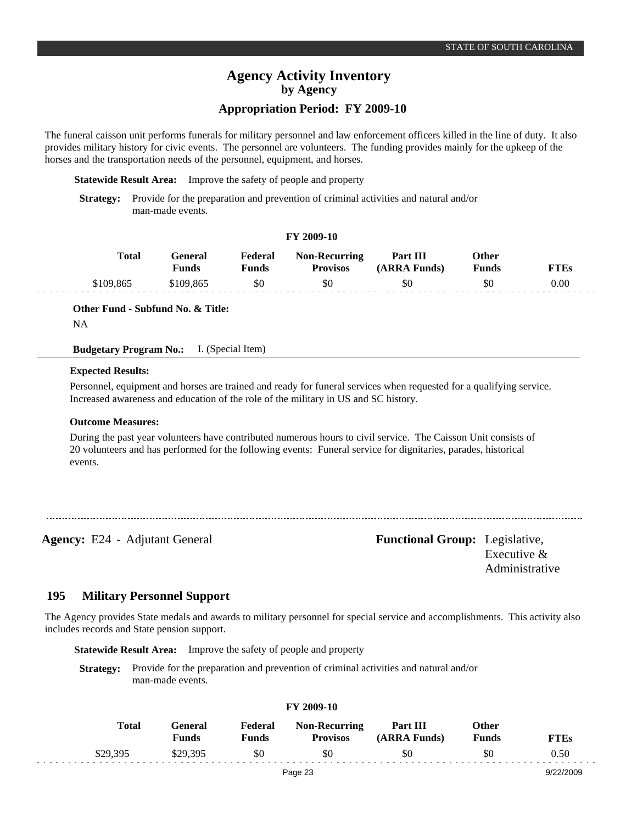### **Appropriation Period: FY 2009-10**

The funeral caisson unit performs funerals for military personnel and law enforcement officers killed in the line of duty. It also provides military history for civic events. The personnel are volunteers. The funding provides mainly for the upkeep of the horses and the transportation needs of the personnel, equipment, and horses.

**Statewide Result Area:** Improve the safety of people and property

**Strategy:** Provide for the preparation and prevention of criminal activities and natural and/or man-made events.

### **FY 2009-10**

| Total     | General<br>Funds | Federal<br>Funds | <b>Non-Recurring</b><br><b>Provisos</b> | Part III<br>(ARRA Funds) | Other<br><b>Funds</b> | <b>FTEs</b> |
|-----------|------------------|------------------|-----------------------------------------|--------------------------|-----------------------|-------------|
| \$109,865 | \$109.865        | \$0              | \$0                                     | \$0                      | \$0                   | 0.00        |

**Other Fund - Subfund No. & Title:**

NA

**Budgetary Program No.:** I. (Special Item)

#### **Expected Results:**

Personnel, equipment and horses are trained and ready for funeral services when requested for a qualifying service. Increased awareness and education of the role of the military in US and SC history.

#### **Outcome Measures:**

During the past year volunteers have contributed numerous hours to civil service. The Caisson Unit consists of 20 volunteers and has performed for the following events: Funeral service for dignitaries, parades, historical events.

**Agency:** E24 - Adjutant General **-** *Functional Group:* Legislative, Executive & Administrative

#### **Military Personnel Support 195**

The Agency provides State medals and awards to military personnel for special service and accomplishments. This activity also includes records and State pension support.

**Statewide Result Area:** Improve the safety of people and property

**Strategy:** Provide for the preparation and prevention of criminal activities and natural and/or man-made events.

| <b>Total</b> | General<br><b>Funds</b> | Federal<br><b>Funds</b> | <b>Non-Recurring</b><br><b>Provisos</b> | Part III<br>(ARRA Funds) | Other<br><b>Funds</b> | <b>FTEs</b> |
|--------------|-------------------------|-------------------------|-----------------------------------------|--------------------------|-----------------------|-------------|
| \$29,395     | \$29,395                | \$0                     | \$0                                     | \$0                      | \$0                   | 0.50        |
|              |                         |                         | Page 23                                 |                          |                       | 9/22/2009   |

**FY 2009-10**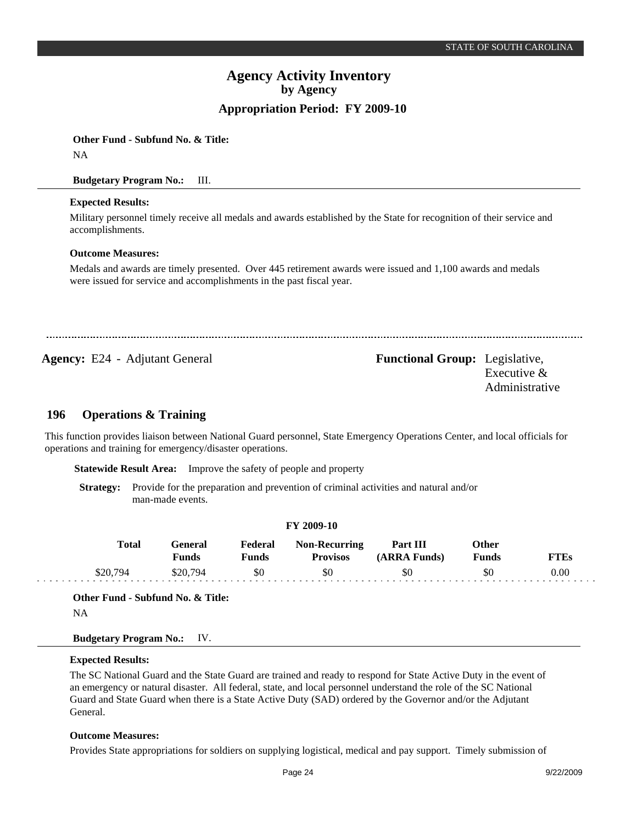**Other Fund - Subfund No. & Title:** NA

### **Budgetary Program No.:** III.

### **Expected Results:**

Military personnel timely receive all medals and awards established by the State for recognition of their service and accomplishments.

### **Outcome Measures:**

Medals and awards are timely presented. Over 445 retirement awards were issued and 1,100 awards and medals were issued for service and accomplishments in the past fiscal year.

**Agency:** E24 - Adjutant General **Functional Group:** Legislative,

Executive & Administrative

#### **Operations & Training 196**

This function provides liaison between National Guard personnel, State Emergency Operations Center, and local officials for operations and training for emergency/disaster operations.

**Statewide Result Area:** Improve the safety of people and property

**Strategy:** Provide for the preparation and prevention of criminal activities and natural and/or man-made events.

| <b>Total</b> | General      | Federal      | <b>Non-Recurring</b> | Part III     | <b>Other</b> |             |
|--------------|--------------|--------------|----------------------|--------------|--------------|-------------|
|              | <b>Funds</b> | <b>Funds</b> | <b>Provisos</b>      | (ARRA Funds) | <b>Funds</b> | <b>FTEs</b> |
| \$20,794     | \$20.794     | \$0          | \$0                  | \$0          | \$0          | 0.00        |

NA

. . .

### **Budgetary Program No.:** IV.

### **Expected Results:**

The SC National Guard and the State Guard are trained and ready to respond for State Active Duty in the event of an emergency or natural disaster. All federal, state, and local personnel understand the role of the SC National Guard and State Guard when there is a State Active Duty (SAD) ordered by the Governor and/or the Adjutant General.

### **Outcome Measures:**

Provides State appropriations for soldiers on supplying logistical, medical and pay support. Timely submission of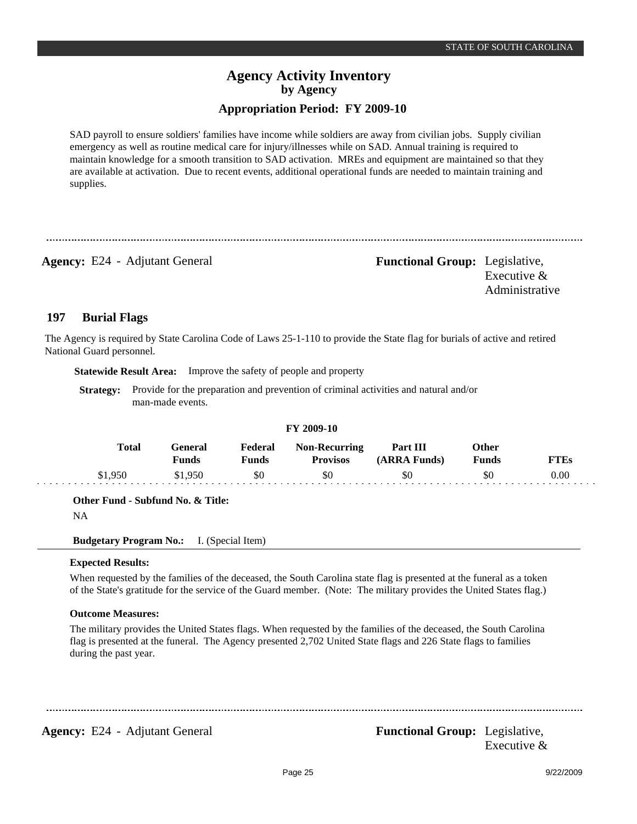## **Appropriation Period: FY 2009-10**

SAD payroll to ensure soldiers' families have income while soldiers are away from civilian jobs. Supply civilian emergency as well as routine medical care for injury/illnesses while on SAD. Annual training is required to maintain knowledge for a smooth transition to SAD activation. MREs and equipment are maintained so that they are available at activation. Due to recent events, additional operational funds are needed to maintain training and supplies.

**Agency:** E24 - Adjutant General **-** *Functional Group:* Legislative, Executive & Administrative

#### **Burial Flags 197**

The Agency is required by State Carolina Code of Laws 25-1-110 to provide the State flag for burials of active and retired National Guard personnel.

**Statewide Result Area:** Improve the safety of people and property

**Strategy:** Provide for the preparation and prevention of criminal activities and natural and/or man-made events.

|              |                  |                         | FY 2009-10                              |                          |                |             |
|--------------|------------------|-------------------------|-----------------------------------------|--------------------------|----------------|-------------|
| <b>Total</b> | General<br>Funds | Federal<br><b>Funds</b> | <b>Non-Recurring</b><br><b>Provisos</b> | Part III<br>(ARRA Funds) | Other<br>Funds | <b>FTEs</b> |
| \$1950       | \$1.950          | \$0                     | \$0                                     | \$0                      | \$0            | 0.00        |

**Other Fund - Subfund No. & Title:**

NA

**Budgetary Program No.:** I. (Special Item)

### **Expected Results:**

When requested by the families of the deceased, the South Carolina state flag is presented at the funeral as a token of the State's gratitude for the service of the Guard member. (Note: The military provides the United States flag.)

### **Outcome Measures:**

The military provides the United States flags. When requested by the families of the deceased, the South Carolina flag is presented at the funeral. The Agency presented 2,702 United State flags and 226 State flags to families during the past year.

**Agency:** E24 - Adjutant General **Functional Group:** Legislative, Executive &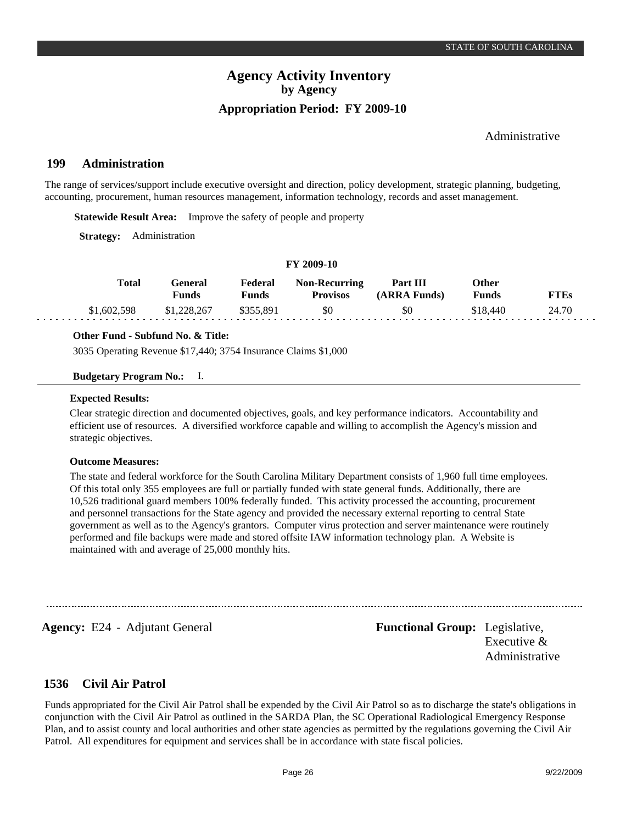### Administrative

#### **Administration 199**

The range of services/support include executive oversight and direction, policy development, strategic planning, budgeting, accounting, procurement, human resources management, information technology, records and asset management.

**Statewide Result Area:** Improve the safety of people and property

**Strategy:** Administration

#### **FY 2009-10**

| <b>Total</b> | General<br>Funds | Federal<br><b>Funds</b> | <b>Non-Recurring</b><br><b>Provisos</b> | Part III<br>(ARRA Funds) | Other<br><b>Funds</b> | <b>FTEs</b> |
|--------------|------------------|-------------------------|-----------------------------------------|--------------------------|-----------------------|-------------|
| \$1,602,598  | \$1,228,267      | \$355.891               | \$0                                     | \$0                      | \$18,440              | 24.70       |

#### **Other Fund - Subfund No. & Title:**

3035 Operating Revenue \$17,440; 3754 Insurance Claims \$1,000

#### **Budgetary Program No.:** I.

#### **Expected Results:**

Clear strategic direction and documented objectives, goals, and key performance indicators. Accountability and efficient use of resources. A diversified workforce capable and willing to accomplish the Agency's mission and strategic objectives.

#### **Outcome Measures:**

The state and federal workforce for the South Carolina Military Department consists of 1,960 full time employees. Of this total only 355 employees are full or partially funded with state general funds. Additionally, there are 10,526 traditional guard members 100% federally funded. This activity processed the accounting, procurement and personnel transactions for the State agency and provided the necessary external reporting to central State government as well as to the Agency's grantors. Computer virus protection and server maintenance were routinely performed and file backups were made and stored offsite IAW information technology plan. A Website is maintained with and average of 25,000 monthly hits.

**Agency:** E24 - Adjutant General **-** *Functional Group:* Legislative, Executive & Administrative

#### **Civil Air Patrol 1536**

Funds appropriated for the Civil Air Patrol shall be expended by the Civil Air Patrol so as to discharge the state's obligations in conjunction with the Civil Air Patrol as outlined in the SARDA Plan, the SC Operational Radiological Emergency Response Plan, and to assist county and local authorities and other state agencies as permitted by the regulations governing the Civil Air Patrol. All expenditures for equipment and services shall be in accordance with state fiscal policies.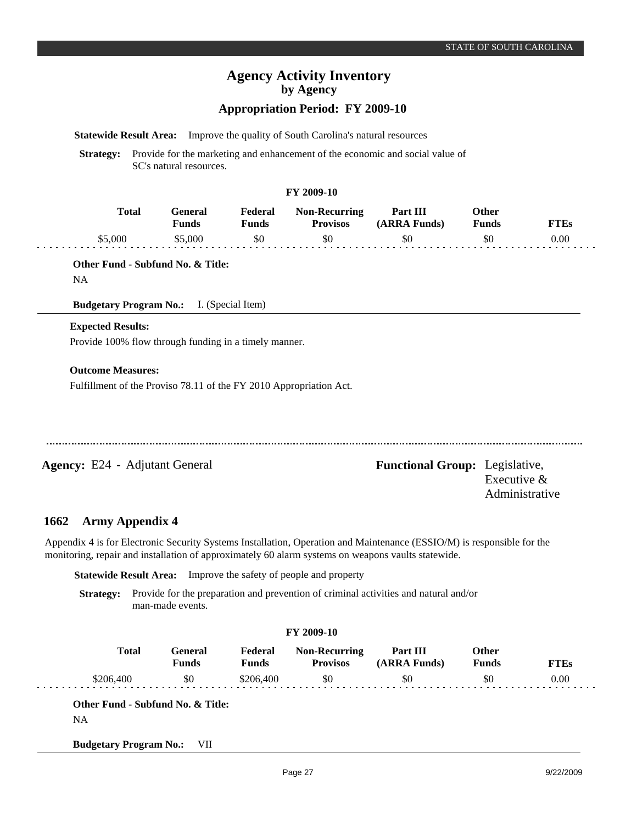# **Appropriation Period: FY 2009-10**

**Statewide Result Area:** Improve the quality of South Carolina's natural resources

**Strategy:** Provide for the marketing and enhancement of the economic and social value of SC's natural resources.

#### **FY 2009-10**

| Total   | l -eneral<br><b>Funds</b> | Federal<br>Funds | <b>Non-Recurring</b><br><b>Provisos</b> | Part III<br>(ARRA Funds) | Other<br>Funds | <b>FTEs</b> |
|---------|---------------------------|------------------|-----------------------------------------|--------------------------|----------------|-------------|
| \$5,000 | -5.000                    | \$0              |                                         | \$0                      |                | 0.00        |

**Other Fund - Subfund No. & Title:**

NA

**Budgetary Program No.:** I. (Special Item)

### **Expected Results:**

Provide 100% flow through funding in a timely manner.

#### **Outcome Measures:**

Fulfillment of the Proviso 78.11 of the FY 2010 Appropriation Act.

**Agency:** E24 - Adjutant General Functional Group: Legislative, Executive & Administrative

#### **Army Appendix 4 1662**

Appendix 4 is for Electronic Security Systems Installation, Operation and Maintenance (ESSIO/M) is responsible for the monitoring, repair and installation of approximately 60 alarm systems on weapons vaults statewide.

**Statewide Result Area:** Improve the safety of people and property

**Strategy:** Provide for the preparation and prevention of criminal activities and natural and/or man-made events.

| <b>Total</b> | General<br><b>Funds</b> | Federal<br><b>Funds</b> | <b>Non-Recurring</b><br><b>Provisos</b> | Part III<br>(ARRA Funds) | Other<br><b>Funds</b> | <b>FTEs</b> |
|--------------|-------------------------|-------------------------|-----------------------------------------|--------------------------|-----------------------|-------------|
| \$206,400    | \$0                     | \$206,400               | \$0                                     | \$0                      | \$0                   | 0.00        |

NA

**Budgetary Program No.:** VII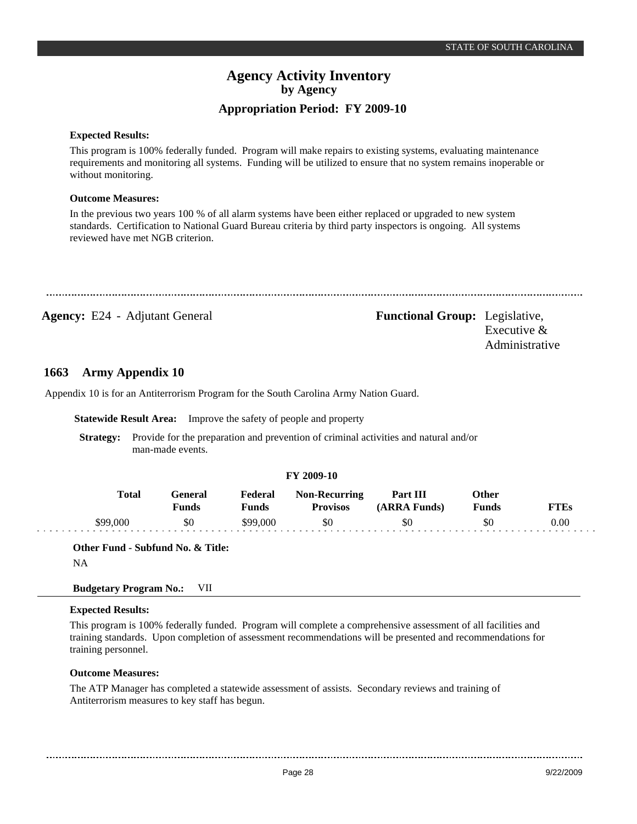#### **Expected Results:**

This program is 100% federally funded. Program will make repairs to existing systems, evaluating maintenance requirements and monitoring all systems. Funding will be utilized to ensure that no system remains inoperable or without monitoring.

#### **Outcome Measures:**

In the previous two years 100 % of all alarm systems have been either replaced or upgraded to new system standards. Certification to National Guard Bureau criteria by third party inspectors is ongoing. All systems reviewed have met NGB criterion.

**Agency:** E24 - Adjutant General **-** *Functional Group:* Legislative, Executive & Administrative

#### **Army Appendix 10 1663**

Appendix 10 is for an Antiterrorism Program for the South Carolina Army Nation Guard.

**Statewide Result Area:** Improve the safety of people and property

**Strategy:** Provide for the preparation and prevention of criminal activities and natural and/or man-made events.

#### **FY 2009-10**

| <b>Total</b> | Feneral<br>Funds | Federal<br>$\nabla$ unds | <b>Non-Recurring</b><br><b>Provisos</b> | Part III<br>(ARRA Funds) | Other<br>Funds | TTEs |
|--------------|------------------|--------------------------|-----------------------------------------|--------------------------|----------------|------|
| \$99,000     | \$0              | \$99,000                 | \$0                                     | \$0                      | \$0            | 0.00 |

**Other Fund - Subfund No. & Title:**

NA

#### **Budgetary Program No.:** VII

#### **Expected Results:**

This program is 100% federally funded. Program will complete a comprehensive assessment of all facilities and training standards. Upon completion of assessment recommendations will be presented and recommendations for training personnel.

#### **Outcome Measures:**

The ATP Manager has completed a statewide assessment of assists. Secondary reviews and training of Antiterrorism measures to key staff has begun.

Page 28 9/22/2009